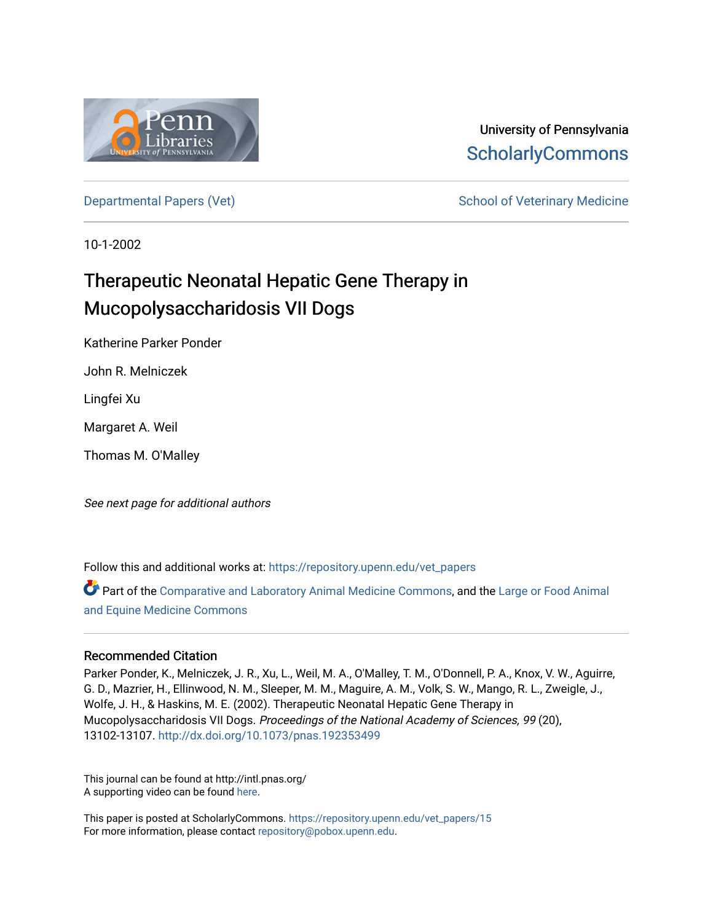

# University of Pennsylvania **ScholarlyCommons**

[Departmental Papers \(Vet\)](https://repository.upenn.edu/vet_papers) Network School of Veterinary Medicine

10-1-2002

# Therapeutic Neonatal Hepatic Gene Therapy in Mucopolysaccharidosis VII Dogs

Katherine Parker Ponder

John R. Melniczek

Lingfei Xu

Margaret A. Weil

Thomas M. O'Malley

See next page for additional authors

Follow this and additional works at: [https://repository.upenn.edu/vet\\_papers](https://repository.upenn.edu/vet_papers?utm_source=repository.upenn.edu%2Fvet_papers%2F15&utm_medium=PDF&utm_campaign=PDFCoverPages) 

Part of the [Comparative and Laboratory Animal Medicine Commons](http://network.bepress.com/hgg/discipline/768?utm_source=repository.upenn.edu%2Fvet_papers%2F15&utm_medium=PDF&utm_campaign=PDFCoverPages), and the [Large or Food Animal](http://network.bepress.com/hgg/discipline/766?utm_source=repository.upenn.edu%2Fvet_papers%2F15&utm_medium=PDF&utm_campaign=PDFCoverPages) [and Equine Medicine Commons](http://network.bepress.com/hgg/discipline/766?utm_source=repository.upenn.edu%2Fvet_papers%2F15&utm_medium=PDF&utm_campaign=PDFCoverPages) 

#### Recommended Citation

Parker Ponder, K., Melniczek, J. R., Xu, L., Weil, M. A., O'Malley, T. M., O'Donnell, P. A., Knox, V. W., Aguirre, G. D., Mazrier, H., Ellinwood, N. M., Sleeper, M. M., Maguire, A. M., Volk, S. W., Mango, R. L., Zweigle, J., Wolfe, J. H., & Haskins, M. E. (2002). Therapeutic Neonatal Hepatic Gene Therapy in Mucopolysaccharidosis VII Dogs. Proceedings of the National Academy of Sciences, 99 (20), 13102-13107. <http://dx.doi.org/10.1073/pnas.192353499>

This journal can be found at http://intl.pnas.org/ A supporting video can be found [here](http://www.pnas.org/content/suppl/2002/09/11/192353499.DC1/3534Movie1.mov).

This paper is posted at ScholarlyCommons. [https://repository.upenn.edu/vet\\_papers/15](https://repository.upenn.edu/vet_papers/15) For more information, please contact [repository@pobox.upenn.edu.](mailto:repository@pobox.upenn.edu)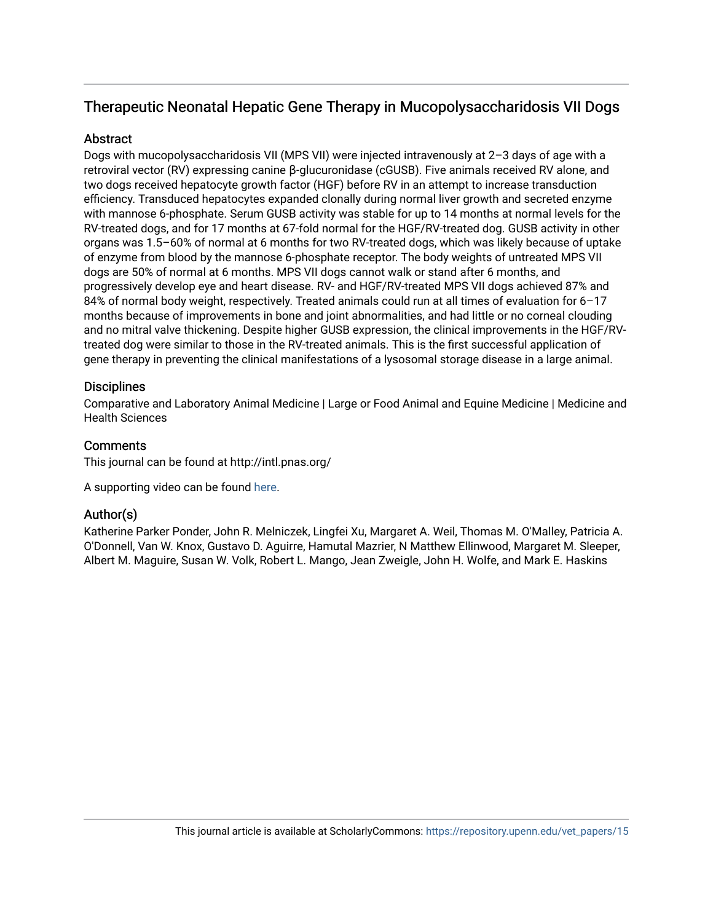## Therapeutic Neonatal Hepatic Gene Therapy in Mucopolysaccharidosis VII Dogs

### **Abstract**

Dogs with mucopolysaccharidosis VII (MPS VII) were injected intravenously at 2–3 days of age with a retroviral vector (RV) expressing canine β-glucuronidase (cGUSB). Five animals received RV alone, and two dogs received hepatocyte growth factor (HGF) before RV in an attempt to increase transduction efficiency. Transduced hepatocytes expanded clonally during normal liver growth and secreted enzyme with mannose 6-phosphate. Serum GUSB activity was stable for up to 14 months at normal levels for the RV-treated dogs, and for 17 months at 67-fold normal for the HGF/RV-treated dog. GUSB activity in other organs was 1.5–60% of normal at 6 months for two RV-treated dogs, which was likely because of uptake of enzyme from blood by the mannose 6-phosphate receptor. The body weights of untreated MPS VII dogs are 50% of normal at 6 months. MPS VII dogs cannot walk or stand after 6 months, and progressively develop eye and heart disease. RV- and HGF/RV-treated MPS VII dogs achieved 87% and 84% of normal body weight, respectively. Treated animals could run at all times of evaluation for 6–17 months because of improvements in bone and joint abnormalities, and had little or no corneal clouding and no mitral valve thickening. Despite higher GUSB expression, the clinical improvements in the HGF/RVtreated dog were similar to those in the RV-treated animals. This is the first successful application of gene therapy in preventing the clinical manifestations of a lysosomal storage disease in a large animal.

### **Disciplines**

Comparative and Laboratory Animal Medicine | Large or Food Animal and Equine Medicine | Medicine and Health Sciences

#### **Comments**

This journal can be found at http://intl.pnas.org/

A supporting video can be found [here.](http://www.pnas.org/content/suppl/2002/09/11/192353499.DC1/3534Movie1.mov)

## Author(s)

Katherine Parker Ponder, John R. Melniczek, Lingfei Xu, Margaret A. Weil, Thomas M. O'Malley, Patricia A. O'Donnell, Van W. Knox, Gustavo D. Aguirre, Hamutal Mazrier, N Matthew Ellinwood, Margaret M. Sleeper, Albert M. Maguire, Susan W. Volk, Robert L. Mango, Jean Zweigle, John H. Wolfe, and Mark E. Haskins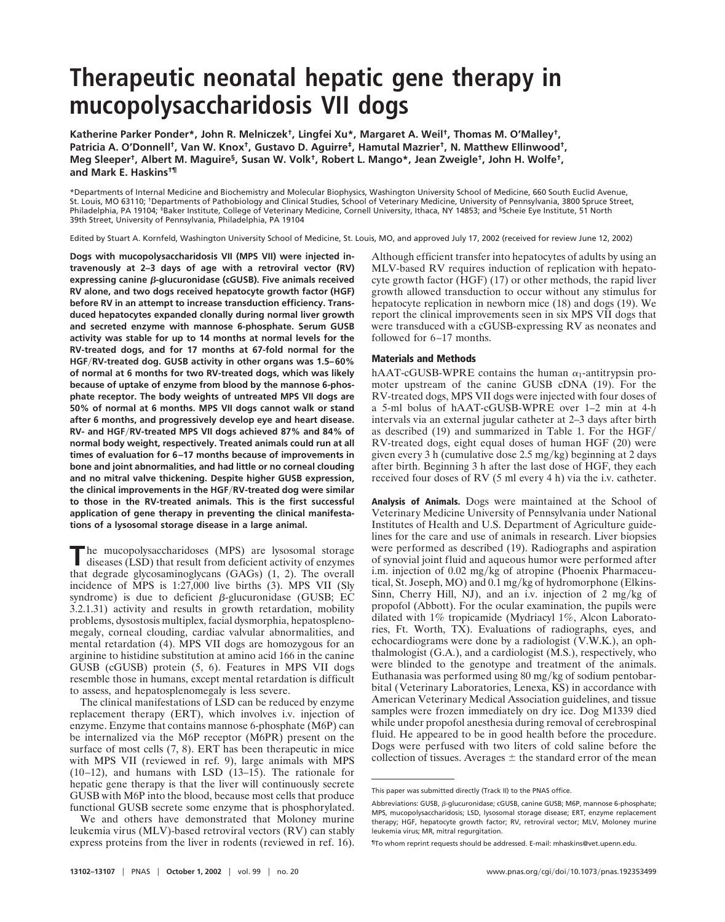# **Therapeutic neonatal hepatic gene therapy in mucopolysaccharidosis VII dogs**

**Katherine Parker Ponder\*, John R. Melniczek†, Lingfei Xu\*, Margaret A. Weil†, Thomas M. O'Malley†, Patricia A. O'Donnell†, Van W. Knox†, Gustavo D. Aguirre‡, Hamutal Mazrier†, N. Matthew Ellinwood†, Meg Sleeper†, Albert M. Maguire§, Susan W. Volk†, Robert L. Mango\*, Jean Zweigle†, John H. Wolfe†, and Mark E. Haskins†¶**

\*Departments of Internal Medicine and Biochemistry and Molecular Biophysics, Washington University School of Medicine, 660 South Euclid Avenue, St. Louis, MO 63110; †Departments of Pathobiology and Clinical Studies, School of Veterinary Medicine, University of Pennsylvania, 3800 Spruce Street, Philadelphia, PA 19104; <sup>‡</sup>Baker Institute, College of Veterinary Medicine, Cornell University, Ithaca, NY 14853; and <sup>§</sup>Scheie Eye Institute, 51 North 39th Street, University of Pennsylvania, Philadelphia, PA 19104

Edited by Stuart A. Kornfeld, Washington University School of Medicine, St. Louis, MO, and approved July 17, 2002 (received for review June 12, 2002)

**Dogs with mucopolysaccharidosis VII (MPS VII) were injected intravenously at 2–3 days of age with a retroviral vector (RV) expressing canine β-glucuronidase (cGUSB). Five animals received RV alone, and two dogs received hepatocyte growth factor (HGF) before RV in an attempt to increase transduction efficiency. Transduced hepatocytes expanded clonally during normal liver growth and secreted enzyme with mannose 6-phosphate. Serum GUSB activity was stable for up to 14 months at normal levels for the RV-treated dogs, and for 17 months at 67-fold normal for the HGFRV-treated dog. GUSB activity in other organs was 1.5–60% of normal at 6 months for two RV-treated dogs, which was likely because of uptake of enzyme from blood by the mannose 6-phosphate receptor. The body weights of untreated MPS VII dogs are 50% of normal at 6 months. MPS VII dogs cannot walk or stand after 6 months, and progressively develop eye and heart disease. RV- and HGFRV-treated MPS VII dogs achieved 87% and 84% of normal body weight, respectively. Treated animals could run at all times of evaluation for 6–17 months because of improvements in bone and joint abnormalities, and had little or no corneal clouding and no mitral valve thickening. Despite higher GUSB expression, the clinical improvements in the HGFRV-treated dog were similar to those in the RV-treated animals. This is the first successful application of gene therapy in preventing the clinical manifestations of a lysosomal storage disease in a large animal.**

The mucopolysaccharidoses (MPS) are lysosomal storage<br>diseases (LSD) that result from deficient activity of enzymes that degrade glycosaminoglycans (GAGs) (1, 2). The overall incidence of MPS is 1:27,000 live births (3). MPS VII (Sly syndrome) is due to deficient  $\beta$ -glucuronidase (GUSB; EC 3.2.1.31) activity and results in growth retardation, mobility problems, dysostosis multiplex, facial dysmorphia, hepatosplenomegaly, corneal clouding, cardiac valvular abnormalities, and mental retardation (4). MPS VII dogs are homozygous for an arginine to histidine substitution at amino acid 166 in the canine GUSB (cGUSB) protein (5, 6). Features in MPS VII dogs resemble those in humans, except mental retardation is difficult to assess, and hepatosplenomegaly is less severe.

The clinical manifestations of LSD can be reduced by enzyme replacement therapy (ERT), which involves i.v. injection of enzyme. Enzyme that contains mannose 6-phosphate (M6P) can be internalized via the M6P receptor (M6PR) present on the surface of most cells (7, 8). ERT has been therapeutic in mice with MPS VII (reviewed in ref. 9), large animals with MPS (10–12), and humans with LSD (13–15). The rationale for hepatic gene therapy is that the liver will continuously secrete GUSB with M6P into the blood, because most cells that produce functional GUSB secrete some enzyme that is phosphorylated.

We and others have demonstrated that Moloney murine leukemia virus (MLV)-based retroviral vectors (RV) can stably express proteins from the liver in rodents (reviewed in ref. 16).

Although efficient transfer into hepatocytes of adults by using an MLV-based RV requires induction of replication with hepatocyte growth factor (HGF) (17) or other methods, the rapid liver growth allowed transduction to occur without any stimulus for hepatocyte replication in newborn mice (18) and dogs (19). We report the clinical improvements seen in six MPS VII dogs that were transduced with a cGUSB-expressing RV as neonates and followed for 6–17 months.

#### **Materials and Methods**

hAAT-cGUSB-WPRE contains the human  $\alpha_1$ -antitrypsin promoter upstream of the canine GUSB cDNA (19). For the RV-treated dogs, MPS VII dogs were injected with four doses of a 5-ml bolus of hAAT-cGUSB-WPRE over 1–2 min at 4-h intervals via an external jugular catheter at 2–3 days after birth as described (19) and summarized in Table 1. For the HGF RV-treated dogs, eight equal doses of human HGF (20) were given every 3 h (cumulative dose  $2.5 \text{ mg/kg}$ ) beginning at 2 days after birth. Beginning 3 h after the last dose of HGF, they each received four doses of RV (5 ml every 4 h) via the i.v. catheter.

**Analysis of Animals.** Dogs were maintained at the School of Veterinary Medicine University of Pennsylvania under National Institutes of Health and U.S. Department of Agriculture guidelines for the care and use of animals in research. Liver biopsies were performed as described (19). Radiographs and aspiration of synovial joint fluid and aqueous humor were performed after i.m. injection of  $0.02 \text{ mg/kg}$  of atropine (Phoenix Pharmaceutical, St. Joseph, MO) and 0.1 mg/kg of hydromorphone (Elkins-Sinn, Cherry Hill, NJ), and an i.v. injection of 2 mg/kg of propofol (Abbott). For the ocular examination, the pupils were dilated with 1% tropicamide (Mydriacyl 1%, Alcon Laboratories, Ft. Worth, TX). Evaluations of radiographs, eyes, and echocardiograms were done by a radiologist (V.W.K.), an ophthalmologist (G.A.), and a cardiologist (M.S.), respectively, who were blinded to the genotype and treatment of the animals. Euthanasia was performed using  $80 \text{ mg/kg}$  of sodium pentobarbital (Veterinary Laboratories, Lenexa, KS) in accordance with American Veterinary Medical Association guidelines, and tissue samples were frozen immediately on dry ice. Dog M1339 died while under propofol anesthesia during removal of cerebrospinal fluid. He appeared to be in good health before the procedure. Dogs were perfused with two liters of cold saline before the collection of tissues. Averages  $\pm$  the standard error of the mean

This paper was submitted directly (Track II) to the PNAS office.

Abbreviations: GUSB,  $\beta$ -glucuronidase; cGUSB, canine GUSB; M6P, mannose 6-phosphate; MPS, mucopolysaccharidosis; LSD, lysosomal storage disease; ERT, enzyme replacement therapy; HGF, hepatocyte growth factor; RV, retroviral vector; MLV, Moloney murine leukemia virus; MR, mitral regurgitation.

<sup>¶</sup>To whom reprint requests should be addressed. E-mail: mhaskins@vet.upenn.edu.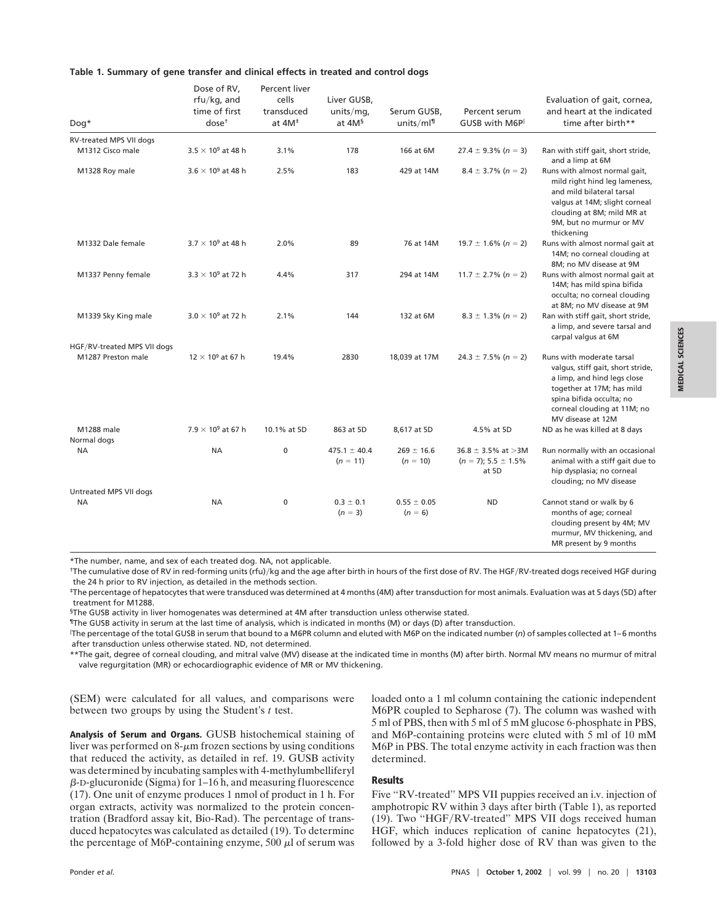|  | Table 1. Summary of gene transfer and clinical effects in treated and control dogs |  |  |  |  |  |  |  |  |  |  |  |
|--|------------------------------------------------------------------------------------|--|--|--|--|--|--|--|--|--|--|--|
|--|------------------------------------------------------------------------------------|--|--|--|--|--|--|--|--|--|--|--|

| Dog*                                              | Dose of RV,<br>$rfu/kg$ , and<br>time of first<br>dose <sup>†</sup> | Percent liver<br>cells<br>transduced<br>at $4M^{\ddagger}$ | Liver GUSB,<br>units/mq,<br>at 4M <sup>§</sup> | Serum GUSB,<br>units/ $ml¶$  | Percent serum<br>GUSB with M6P      | Evaluation of gait, cornea,<br>and heart at the indicated<br>time after birth**                                                                                                                            |
|---------------------------------------------------|---------------------------------------------------------------------|------------------------------------------------------------|------------------------------------------------|------------------------------|-------------------------------------|------------------------------------------------------------------------------------------------------------------------------------------------------------------------------------------------------------|
| RV-treated MPS VII dogs<br>M1312 Cisco male       | $3.5 \times 10^9$ at 48 h                                           | 3.1%                                                       | 178                                            | 166 at 6M                    | $27.4 \pm 9.3\% (n = 3)$            | Ran with stiff gait, short stride,                                                                                                                                                                         |
|                                                   |                                                                     |                                                            |                                                |                              |                                     | and a limp at 6M                                                                                                                                                                                           |
| M1328 Roy male                                    | $3.6 \times 10^9$ at 48 h                                           | 2.5%                                                       | 183                                            | 429 at 14M                   | $8.4 \pm 3.7\%$ (n = 2)             | Runs with almost normal gait,<br>mild right hind leg lameness,<br>and mild bilateral tarsal<br>valgus at 14M; slight corneal<br>clouding at 8M; mild MR at<br>9M, but no murmur or MV<br>thickening        |
| M1332 Dale female                                 | $3.7 \times 10^9$ at 48 h                                           | 2.0%                                                       | 89                                             | 76 at 14M                    | $19.7 \pm 1.6\%$ (n = 2)            | Runs with almost normal gait at<br>14M; no corneal clouding at<br>8M; no MV disease at 9M                                                                                                                  |
| M1337 Penny female                                | $3.3 \times 10^9$ at 72 h                                           | 4.4%                                                       | 317                                            | 294 at 14M                   | $11.7 \pm 2.7\%$ (n = 2)            | Runs with almost normal gait at<br>14M; has mild spina bifida<br>occulta; no corneal clouding<br>at 8M; no MV disease at 9M                                                                                |
| M1339 Sky King male                               | $3.0 \times 10^9$ at 72 h                                           | 2.1%                                                       | 144                                            | 132 at 6M                    | $8.3 \pm 1.3\%$ (n = 2)             | Ran with stiff gait, short stride,<br>a limp, and severe tarsal and<br>carpal valgus at 6M                                                                                                                 |
| HGF/RV-treated MPS VII dogs<br>M1287 Preston male | $12 \times 10^9$ at 67 h                                            | 19.4%                                                      | 2830                                           | 18,039 at 17M                | $24.3 \pm 7.5\%$ (n = 2)            | Runs with moderate tarsal<br>valgus, stiff gait, short stride,<br>a limp, and hind legs close<br>together at 17M; has mild<br>spina bifida occulta; no<br>corneal clouding at 11M; no<br>MV disease at 12M |
| M1288 male                                        | $7.9 \times 10^9$ at 67 h                                           | 10.1% at 5D                                                | 863 at 5D                                      | 8,617 at 5D                  | 4.5% at 5D                          | ND as he was killed at 8 days                                                                                                                                                                              |
| Normal dogs<br>ΝA                                 | <b>NA</b>                                                           | $\mathbf 0$                                                | $475.1 \pm 40.4$                               | $269 \pm 16.6$               | $36.8 \pm 3.5\%$ at >3M             | Run normally with an occasional                                                                                                                                                                            |
|                                                   |                                                                     |                                                            | $(n = 11)$                                     | $(n = 10)$                   | $(n = 7)$ ; 5.5 $\pm$ 1.5%<br>at 5D | animal with a stiff gait due to<br>hip dysplasia; no corneal<br>clouding; no MV disease                                                                                                                    |
| Untreated MPS VII dogs                            |                                                                     |                                                            |                                                |                              |                                     |                                                                                                                                                                                                            |
| <b>NA</b>                                         | <b>NA</b>                                                           | $\mathbf 0$                                                | $0.3 \pm 0.1$<br>$(n = 3)$                     | $0.55 \pm 0.05$<br>$(n = 6)$ | <b>ND</b>                           | Cannot stand or walk by 6<br>months of age; corneal<br>clouding present by 4M; MV<br>murmur, MV thickening, and<br>MR present by 9 months                                                                  |

\*The number, name, and sex of each treated dog. NA, not applicable.

<sup>†</sup>The cumulative dose of RV in red-forming units (rfu)/kg and the age after birth in hours of the first dose of RV. The HGF/RV-treated dogs received HGF during the 24 h prior to RV injection, as detailed in the methods section.

‡The percentage of hepatocytes that were transduced was determined at 4 months (4M) after transduction for most animals. Evaluation was at 5 days (5D) after treatment for M1288.

§The GUSB activity in liver homogenates was determined at 4M after transduction unless otherwise stated.

¶The GUSB activity in serum at the last time of analysis, which is indicated in months (M) or days (D) after transduction.

 The percentage of the total GUSB in serum that bound to a M6PR column and eluted with M6P on the indicated number (*n*) of samples collected at 1–6 months after transduction unless otherwise stated. ND, not determined.

\*\*The gait, degree of corneal clouding, and mitral valve (MV) disease at the indicated time in months (M) after birth. Normal MV means no murmur of mitral valve regurgitation (MR) or echocardiographic evidence of MR or MV thickening.

(SEM) were calculated for all values, and comparisons were between two groups by using the Student's *t* test.

**Analysis of Serum and Organs.** GUSB histochemical staining of liver was performed on  $8-\mu m$  frozen sections by using conditions that reduced the activity, as detailed in ref. 19. GUSB activity was determined by incubating samples with 4-methylumbelliferyl  $\beta$ -D-glucuronide (Sigma) for 1–16 h, and measuring fluorescence (17). One unit of enzyme produces 1 nmol of product in 1 h. For organ extracts, activity was normalized to the protein concentration (Bradford assay kit, Bio-Rad). The percentage of transduced hepatocytes was calculated as detailed (19). To determine the percentage of M6P-containing enzyme, 500  $\mu$ l of serum was loaded onto a 1 ml column containing the cationic independent M6PR coupled to Sepharose (7). The column was washed with 5 ml of PBS, then with 5 ml of 5 mM glucose 6-phosphate in PBS, and M6P-containing proteins were eluted with 5 ml of 10 mM M6P in PBS. The total enzyme activity in each fraction was then determined.

#### **Results**

Five "RV-treated" MPS VII puppies received an i.v. injection of amphotropic RV within 3 days after birth (Table 1), as reported (19). Two "HGF/RV-treated" MPS VII dogs received human HGF, which induces replication of canine hepatocytes (21), followed by a 3-fold higher dose of RV than was given to the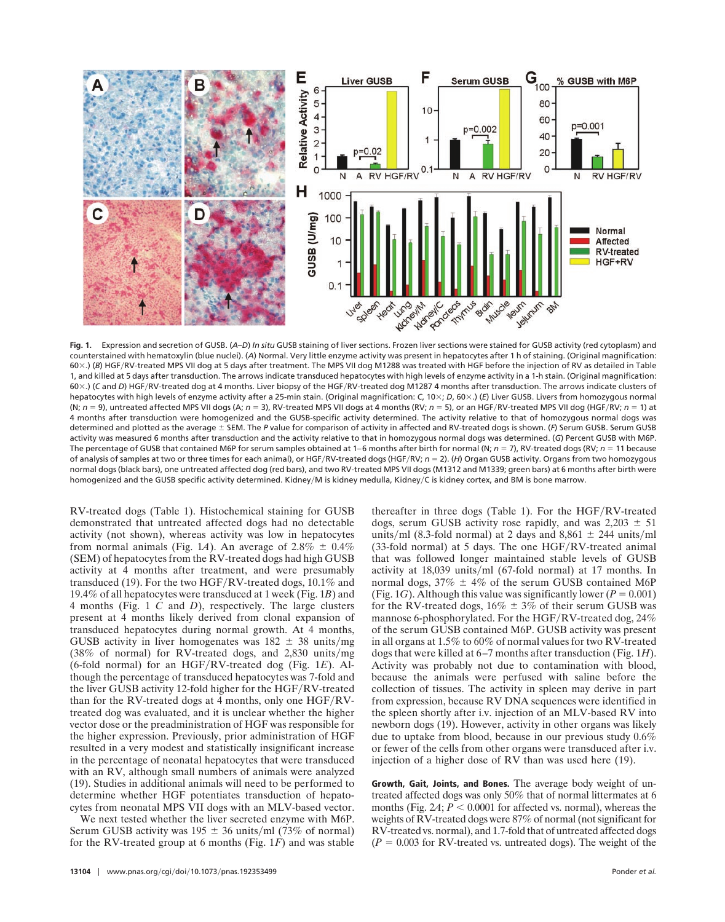

**Fig. 1.** Expression and secretion of GUSB. (*A*–*D*) *In situ* GUSB staining of liver sections. Frozen liver sections were stained for GUSB activity (red cytoplasm) and counterstained with hematoxylin (blue nuclei). (*A*) Normal. Very little enzyme activity was present in hepatocytes after 1 h of staining. (Original magnification: 60×.) (*B*) HGF/RV-treated MPS VII dog at 5 days after treatment. The MPS VII dog M1288 was treated with HGF before the injection of RV as detailed in Table 1, and killed at 5 days after transduction. The arrows indicate transduced hepatocytes with high levels of enzyme activity in a 1-h stain. (Original magnification: 60×.) (C and *D*) HGF/RV-treated dog at 4 months. Liver biopsy of the HGF/RV-treated dog M1287 4 months after transduction. The arrows indicate clusters of hepatocytes with high levels of enzyme activity after a 25-min stain. (Original magnification: *C*, 10×; *D*, 60×.) (*E*) Liver GUSB. Livers from homozygous normal (N; *n* 9), untreated affected MPS VII dogs (A; *n* 3), RV-treated MPS VII dogs at 4 months (RV; *n* 5), or an HGFRV-treated MPS VII dog (HGFRV; *n* 1) at 4 months after transduction were homogenized and the GUSB-specific activity determined. The activity relative to that of homozygous normal dogs was determined and plotted as the average ± SEM. The P value for comparison of activity in affected and RV-treated dogs is shown. (F) Serum GUSB. Serum GUSB activity was measured 6 months after transduction and the activity relative to that in homozygous normal dogs was determined. (*G*) Percent GUSB with M6P. The percentage of GUSB that contained M6P for serum samples obtained at 1–6 months after birth for normal (N;  $n = 7$ ), RV-treated dogs (RV;  $n = 11$  because of analysis of samples at two or three times for each animal), or HGF/RV-treated dogs (HGF/RV;  $n = 2$ ). (*H*) Organ GUSB activity. Organs from two homozygous normal dogs (black bars), one untreated affected dog (red bars), and two RV-treated MPS VII dogs (M1312 and M1339; green bars) at 6 months after birth were homogenized and the GUSB specific activity determined. Kidney/M is kidney medulla, Kidney/C is kidney cortex, and BM is bone marrow.

RV-treated dogs (Table 1). Histochemical staining for GUSB demonstrated that untreated affected dogs had no detectable activity (not shown), whereas activity was low in hepatocytes from normal animals (Fig. 1*A*). An average of  $2.8\% \pm 0.4\%$ (SEM) of hepatocytes from the RV-treated dogs had high GUSB activity at 4 months after treatment, and were presumably transduced (19). For the two HGF/RV-treated dogs,  $10.1\%$  and 19.4% of all hepatocytes were transduced at 1 week (Fig. 1*B*) and 4 months (Fig. 1 *C* and *D*), respectively. The large clusters present at 4 months likely derived from clonal expansion of transduced hepatocytes during normal growth. At 4 months, GUSB activity in liver homogenates was  $182 \pm 38$  units/mg  $(38\% \text{ of normal})$  for RV-treated dogs, and 2,830 units/mg (6-fold normal) for an HGF/RV-treated dog (Fig. 1E). Although the percentage of transduced hepatocytes was 7-fold and the liver GUSB activity 12-fold higher for the HGF/RV-treated than for the RV-treated dogs at 4 months, only one HGF/RVtreated dog was evaluated, and it is unclear whether the higher vector dose or the preadministration of HGF was responsible for the higher expression. Previously, prior administration of HGF resulted in a very modest and statistically insignificant increase in the percentage of neonatal hepatocytes that were transduced with an RV, although small numbers of animals were analyzed (19). Studies in additional animals will need to be performed to determine whether HGF potentiates transduction of hepatocytes from neonatal MPS VII dogs with an MLV-based vector.

We next tested whether the liver secreted enzyme with M6P. Serum GUSB activity was  $195 \pm 36$  units/ml (73% of normal) for the RV-treated group at 6 months (Fig. 1*F*) and was stable thereafter in three dogs (Table 1). For the  $HGF/RV$ -treated dogs, serum GUSB activity rose rapidly, and was  $2,203 \pm 51$ units/ml (8.3-fold normal) at 2 days and 8,861  $\pm$  244 units/ml  $(33-fold normal)$  at 5 days. The one HGF/RV-treated animal that was followed longer maintained stable levels of GUSB activity at  $18,039$  units/ml (67-fold normal) at 17 months. In normal dogs,  $37\% \pm 4\%$  of the serum GUSB contained M6P (Fig. 1*G*). Although this value was significantly lower ( $P = 0.001$ ) for the RV-treated dogs,  $16\% \pm 3\%$  of their serum GUSB was mannose 6-phosphorylated. For the HGF/RV-treated dog,  $24\%$ of the serum GUSB contained M6P. GUSB activity was present in all organs at 1.5% to 60% of normal values for two RV-treated dogs that were killed at 6–7 months after transduction (Fig. 1*H*). Activity was probably not due to contamination with blood, because the animals were perfused with saline before the collection of tissues. The activity in spleen may derive in part from expression, because RV DNA sequences were identified in the spleen shortly after i.v. injection of an MLV-based RV into newborn dogs (19). However, activity in other organs was likely due to uptake from blood, because in our previous study 0.6% or fewer of the cells from other organs were transduced after i.v. injection of a higher dose of RV than was used here (19).

**Growth, Gait, Joints, and Bones.** The average body weight of untreated affected dogs was only 50% that of normal littermates at 6 months (Fig.  $2A$ ;  $P < 0.0001$  for affected vs. normal), whereas the weights of RV-treated dogs were 87% of normal (not significant for RV-treated vs. normal), and 1.7-fold that of untreated affected dogs  $(P = 0.003$  for RV-treated vs. untreated dogs). The weight of the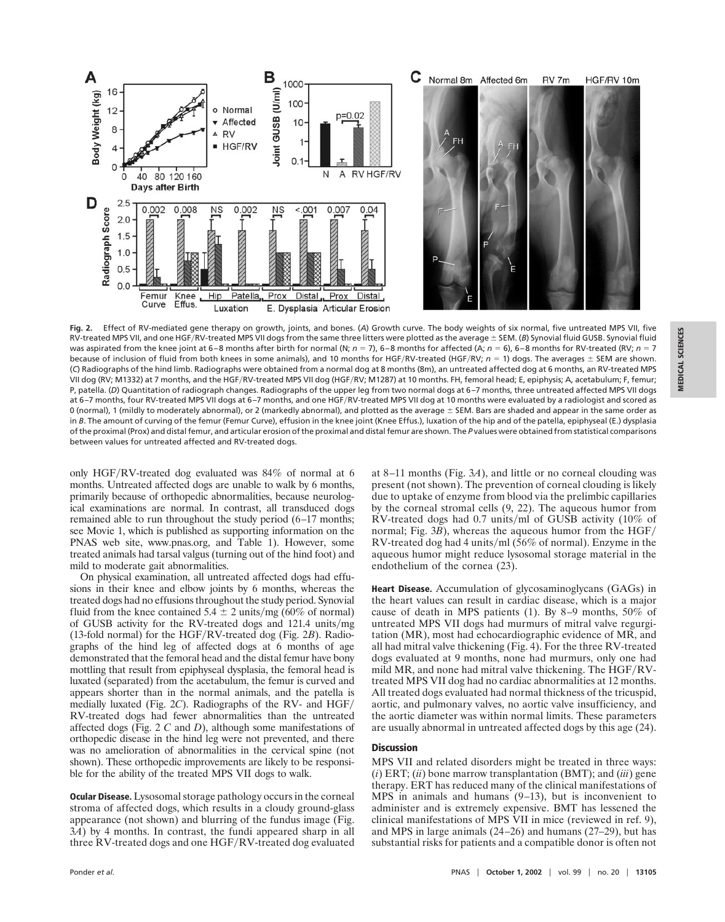

**Fig. 2.** Effect of RV-mediated gene therapy on growth, joints, and bones. (*A*) Growth curve. The body weights of six normal, five untreated MPS VII, five RV-treated MPS VII, and one HGF/RV-treated MPS VII dogs from the same three litters were plotted as the average ± SEM. (B) Synovial fluid GUSB. Synovial fluid was aspirated from the knee joint at 6–8 months after birth for normal (N;  $n = 7$ ), 6–8 months for affected (A;  $n = 6$ ), 6–8 months for RV-treated (RV;  $n = 7$ because of inclusion of fluid from both knees in some animals), and 10 months for HGF/RV-treated (HGF/RV;  $n = 1$ ) dogs. The averages  $\pm$  SEM are shown. (*C*) Radiographs of the hind limb. Radiographs were obtained from a normal dog at 8 months (8m), an untreated affected dog at 6 months, an RV-treated MPS VII dog (RV; M1332) at 7 months, and the HGF/RV-treated MPS VII dog (HGF/RV; M1287) at 10 months. FH, femoral head; E, epiphysis; A, acetabulum; F, femur; P, patella. (*D*) Quantitation of radiograph changes. Radiographs of the upper leg from two normal dogs at 6–7 months, three untreated affected MPS VII dogs at 6–7 months, four RV-treated MPS VII dogs at 6–7 months, and one HGFRV-treated MPS VII dog at 10 months were evaluated by a radiologist and scored as 0 (normal), 1 (mildly to moderately abnormal), or 2 (markedly abnormal), and plotted as the average  $\pm$  SEM. Bars are shaded and appear in the same order as in *B*. The amount of curving of the femur (Femur Curve), effusion in the knee joint (Knee Effus.), luxation of the hip and of the patella, epiphyseal (E.) dysplasia of the proximal (Prox) and distal femur, and articular erosion of the proximal and distal femur are shown. The *P* values were obtained from statistical comparisons between values for untreated affected and RV-treated dogs.

only HGF/RV-treated dog evaluated was  $84\%$  of normal at 6 months. Untreated affected dogs are unable to walk by 6 months, primarily because of orthopedic abnormalities, because neurological examinations are normal. In contrast, all transduced dogs remained able to run throughout the study period (6–17 months; see Movie 1, which is published as supporting information on the PNAS web site, www.pnas.org, and Table 1). However, some treated animals had tarsal valgus (turning out of the hind foot) and mild to moderate gait abnormalities.

On physical examination, all untreated affected dogs had effusions in their knee and elbow joints by 6 months, whereas the treated dogs had no effusions throughout the study period. Synovial fluid from the knee contained  $5.4 \pm 2$  units/mg (60% of normal) of GUSB activity for the RV-treated dogs and  $121.4$  units/mg (13-fold normal) for the HGF/RV-treated dog (Fig.  $2B$ ). Radiographs of the hind leg of affected dogs at 6 months of age demonstrated that the femoral head and the distal femur have bony mottling that result from epiphyseal dysplasia, the femoral head is luxated (separated) from the acetabulum, the femur is curved and appears shorter than in the normal animals, and the patella is medially luxated (Fig. 2*C*). Radiographs of the RV- and HGF RV-treated dogs had fewer abnormalities than the untreated affected dogs (Fig. 2 *C* and *D*), although some manifestations of orthopedic disease in the hind leg were not prevented, and there was no amelioration of abnormalities in the cervical spine (not shown). These orthopedic improvements are likely to be responsible for the ability of the treated MPS VII dogs to walk.

**Ocular Disease.** Lysosomal storage pathology occurs in the corneal stroma of affected dogs, which results in a cloudy ground-glass appearance (not shown) and blurring of the fundus image (Fig. 3*A*) by 4 months. In contrast, the fundi appeared sharp in all three RV-treated dogs and one HGF/RV-treated dog evaluated at 8–11 months (Fig. 3*A*), and little or no corneal clouding was present (not shown). The prevention of corneal clouding is likely due to uptake of enzyme from blood via the prelimbic capillaries by the corneal stromal cells (9, 22). The aqueous humor from RV-treated dogs had  $0.7$  units/ml of GUSB activity (10% of normal; Fig. 3*B*), whereas the aqueous humor from the HGF/ RV-treated dog had 4 units/ml (56% of normal). Enzyme in the aqueous humor might reduce lysosomal storage material in the endothelium of the cornea (23).

**Heart Disease.** Accumulation of glycosaminoglycans (GAGs) in the heart values can result in cardiac disease, which is a major cause of death in MPS patients (1). By 8–9 months, 50% of untreated MPS VII dogs had murmurs of mitral valve regurgitation (MR), most had echocardiographic evidence of MR, and all had mitral valve thickening (Fig. 4). For the three RV-treated dogs evaluated at 9 months, none had murmurs, only one had mild MR, and none had mitral valve thickening. The  $HGF/RV$ treated MPS VII dog had no cardiac abnormalities at 12 months. All treated dogs evaluated had normal thickness of the tricuspid, aortic, and pulmonary valves, no aortic valve insufficiency, and the aortic diameter was within normal limits. These parameters are usually abnormal in untreated affected dogs by this age (24).

#### **Discussion**

MPS VII and related disorders might be treated in three ways: (*i*) ERT; (*ii*) bone marrow transplantation (BMT); and (*iii*) gene therapy. ERT has reduced many of the clinical manifestations of MPS in animals and humans (9–13), but is inconvenient to administer and is extremely expensive. BMT has lessened the clinical manifestations of MPS VII in mice (reviewed in ref. 9), and MPS in large animals (24–26) and humans (27–29), but has substantial risks for patients and a compatible donor is often not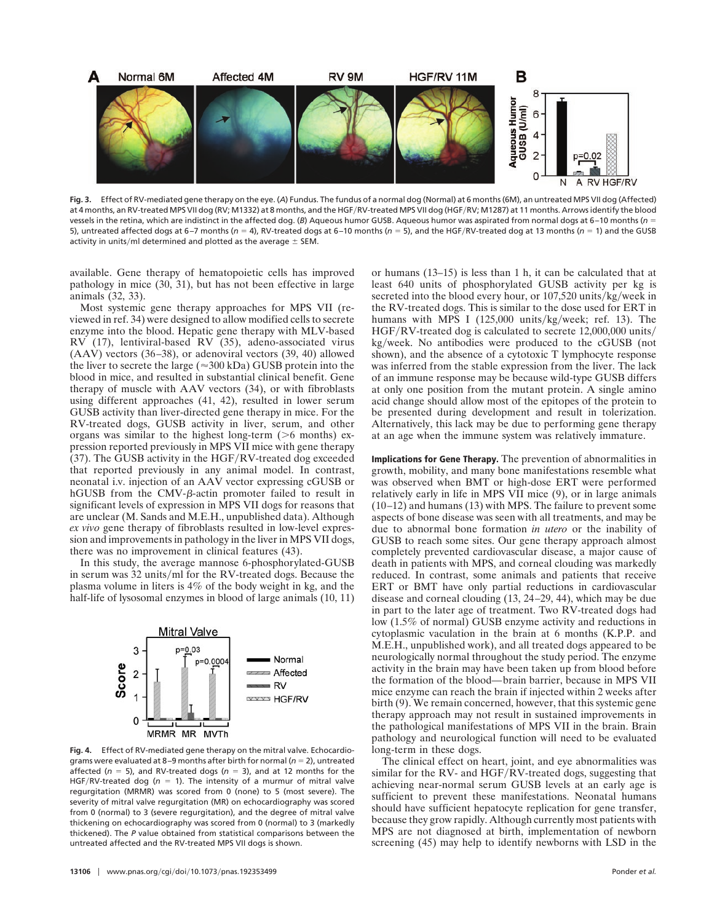

**Fig. 3.** Effect of RV-mediated gene therapy on the eye. (*A*) Fundus. The fundus of a normal dog (Normal) at 6 months (6M), an untreated MPS VII dog (Affected) at 4 months, an RV-treated MPS VII dog (RV; M1332) at 8 months, and the HGFRV-treated MPS VII dog (HGFRV; M1287) at 11 months. Arrows identify the blood vessels in the retina, which are indistinct in the affected dog. (B) Aqueous humor GUSB. Aqueous humor was aspirated from normal dogs at 6-10 months (*n* = 5), untreated affected dogs at 6–7 months ( $n = 4$ ), RV-treated dogs at 6–10 months ( $n = 5$ ), and the HGF/RV-treated dog at 13 months ( $n = 1$ ) and the GUSB activity in units/ml determined and plotted as the average  $\pm$  SEM.

available. Gene therapy of hematopoietic cells has improved pathology in mice (30, 31), but has not been effective in large animals (32, 33).

Most systemic gene therapy approaches for MPS VII (reviewed in ref. 34) were designed to allow modified cells to secrete enzyme into the blood. Hepatic gene therapy with MLV-based RV (17), lentiviral-based RV (35), adeno-associated virus (AAV) vectors (36–38), or adenoviral vectors (39, 40) allowed the liver to secrete the large ( $\approx$ 300 kDa) GUSB protein into the blood in mice, and resulted in substantial clinical benefit. Gene therapy of muscle with AAV vectors (34), or with fibroblasts using different approaches (41, 42), resulted in lower serum GUSB activity than liver-directed gene therapy in mice. For the RV-treated dogs, GUSB activity in liver, serum, and other organs was similar to the highest long-term  $(>6$  months) expression reported previously in MPS VII mice with gene therapy  $(37)$ . The GUSB activity in the HGF/RV-treated dog exceeded that reported previously in any animal model. In contrast, neonatal i.v. injection of an AAV vector expressing cGUSB or hGUSB from the CMV- $\beta$ -actin promoter failed to result in significant levels of expression in MPS VII dogs for reasons that are unclear (M. Sands and M.E.H., unpublished data). Although *ex vivo* gene therapy of fibroblasts resulted in low-level expression and improvements in pathology in the liver in MPS VII dogs, there was no improvement in clinical features (43).

In this study, the average mannose 6-phosphorylated-GUSB in serum was  $32$  units/ml for the RV-treated dogs. Because the plasma volume in liters is 4% of the body weight in kg, and the half-life of lysosomal enzymes in blood of large animals  $(10, 11)$ 

![](_page_6_Figure_5.jpeg)

**Fig. 4.** Effect of RV-mediated gene therapy on the mitral valve. Echocardiograms were evaluated at 8–9 months after birth for normal (*n* 2), untreated affected ( $n = 5$ ), and RV-treated dogs ( $n = 3$ ), and at 12 months for the HGF/RV-treated dog ( $n = 1$ ). The intensity of a murmur of mitral valve regurgitation (MRMR) was scored from 0 (none) to 5 (most severe). The severity of mitral valve regurgitation (MR) on echocardiography was scored from 0 (normal) to 3 (severe regurgitation), and the degree of mitral valve thickening on echocardiography was scored from 0 (normal) to 3 (markedly thickened). The *P* value obtained from statistical comparisons between the untreated affected and the RV-treated MPS VII dogs is shown.

or humans (13–15) is less than 1 h, it can be calculated that at least 640 units of phosphorylated GUSB activity per kg is secreted into the blood every hour, or 107,520 units/kg/week in the RV-treated dogs. This is similar to the dose used for ERT in humans with MPS I  $(125,000 \text{ units/kg/week}; \text{ref. } 13)$ . The  $HGF/RV$ -treated dog is calculated to secrete 12,000,000 units/ kg/week. No antibodies were produced to the cGUSB (not shown), and the absence of a cytotoxic T lymphocyte response was inferred from the stable expression from the liver. The lack of an immune response may be because wild-type GUSB differs at only one position from the mutant protein. A single amino acid change should allow most of the epitopes of the protein to be presented during development and result in tolerization. Alternatively, this lack may be due to performing gene therapy at an age when the immune system was relatively immature.

**Implications for Gene Therapy.** The prevention of abnormalities in growth, mobility, and many bone manifestations resemble what was observed when BMT or high-dose ERT were performed relatively early in life in MPS VII mice (9), or in large animals (10–12) and humans (13) with MPS. The failure to prevent some aspects of bone disease was seen with all treatments, and may be due to abnormal bone formation *in utero* or the inability of GUSB to reach some sites. Our gene therapy approach almost completely prevented cardiovascular disease, a major cause of death in patients with MPS, and corneal clouding was markedly reduced. In contrast, some animals and patients that receive ERT or BMT have only partial reductions in cardiovascular disease and corneal clouding (13, 24–29, 44), which may be due in part to the later age of treatment. Two RV-treated dogs had low (1.5% of normal) GUSB enzyme activity and reductions in cytoplasmic vaculation in the brain at 6 months (K.P.P. and M.E.H., unpublished work), and all treated dogs appeared to be neurologically normal throughout the study period. The enzyme activity in the brain may have been taken up from blood before the formation of the blood—brain barrier, because in MPS VII mice enzyme can reach the brain if injected within 2 weeks after birth (9). We remain concerned, however, that this systemic gene therapy approach may not result in sustained improvements in the pathological manifestations of MPS VII in the brain. Brain pathology and neurological function will need to be evaluated long-term in these dogs.

The clinical effect on heart, joint, and eye abnormalities was similar for the RV- and  $HGF/RV$ -treated dogs, suggesting that achieving near-normal serum GUSB levels at an early age is sufficient to prevent these manifestations. Neonatal humans should have sufficient hepatocyte replication for gene transfer, because they grow rapidly. Although currently most patients with MPS are not diagnosed at birth, implementation of newborn screening (45) may help to identify newborns with LSD in the